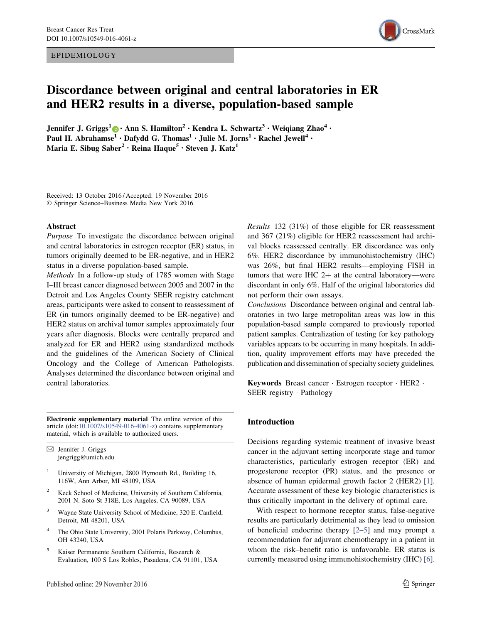EPIDEMIOLOGY



# Discordance between original and central laboratories in ER and HER2 results in a diverse, population-based sample

Jennifer J. Griggs<sup>1</sup>  $\bigcirc$  • Ann S. Hamilton<sup>2</sup> • Kendra L. Schwartz<sup>3</sup> • Weigiang Zhao<sup>4</sup> • Paul H. Abrahamse<sup>1</sup> · Dafydd G. Thomas<sup>1</sup> · Julie M. Jorns<sup>1</sup> · Rachel Jewell<sup>4</sup> · Maria E. Sibug Saber<sup>2</sup> · Reina Haque<sup>5</sup> · Steven J. Katz<sup>1</sup>

Received: 13 October 2016 / Accepted: 19 November 2016 - Springer Science+Business Media New York 2016

#### Abstract

Purpose To investigate the discordance between original and central laboratories in estrogen receptor (ER) status, in tumors originally deemed to be ER-negative, and in HER2 status in a diverse population-based sample.

Methods In a follow-up study of 1785 women with Stage I–III breast cancer diagnosed between 2005 and 2007 in the Detroit and Los Angeles County SEER registry catchment areas, participants were asked to consent to reassessment of ER (in tumors originally deemed to be ER-negative) and HER2 status on archival tumor samples approximately four years after diagnosis. Blocks were centrally prepared and analyzed for ER and HER2 using standardized methods and the guidelines of the American Society of Clinical Oncology and the College of American Pathologists. Analyses determined the discordance between original and central laboratories.

Electronic supplementary material The online version of this article (doi:10.1007/s10549-016-4061-z) contains supplementary material, which is available to authorized users.

 $\boxtimes$  Jennifer J. Griggs jengrigg@umich.edu

- <sup>1</sup> University of Michigan, 2800 Plymouth Rd., Building 16, 116W, Ann Arbor, MI 48109, USA
- <sup>2</sup> Keck School of Medicine, University of Southern California, 2001 N. Soto St 318E, Los Angeles, CA 90089, USA
- <sup>3</sup> Wayne State University School of Medicine, 320 E. Canfield, Detroit, MI 48201, USA
- <sup>4</sup> The Ohio State University, 2001 Polaris Parkway, Columbus, OH 43240, USA
- <sup>5</sup> Kaiser Permanente Southern California, Research & Evaluation, 100 S Los Robles, Pasadena, CA 91101, USA

Results 132 (31%) of those eligible for ER reassessment and 367 (21%) eligible for HER2 reassessment had archival blocks reassessed centrally. ER discordance was only 6%. HER2 discordance by immunohistochemistry (IHC) was 26%, but final HER2 results—employing FISH in tumors that were IHC  $2+$  at the central laboratory—were discordant in only 6%. Half of the original laboratories did not perform their own assays.

Conclusions Discordance between original and central laboratories in two large metropolitan areas was low in this population-based sample compared to previously reported patient samples. Centralization of testing for key pathology variables appears to be occurring in many hospitals. In addition, quality improvement efforts may have preceded the publication and dissemination of specialty society guidelines.

Keywords Breast cancer - Estrogen receptor - HER2 - SEER registry - Pathology

#### Introduction

Decisions regarding systemic treatment of invasive breast cancer in the adjuvant setting incorporate stage and tumor characteristics, particularly estrogen receptor (ER) and progesterone receptor (PR) status, and the presence or absence of human epidermal growth factor 2 (HER2) [1]. Accurate assessment of these key biologic characteristics is thus critically important in the delivery of optimal care.

With respect to hormone receptor status, false-negative results are particularly detrimental as they lead to omission of beneficial endocrine therapy [2–5] and may prompt a recommendation for adjuvant chemotherapy in a patient in whom the risk–benefit ratio is unfavorable. ER status is currently measured using immunohistochemistry (IHC) [6].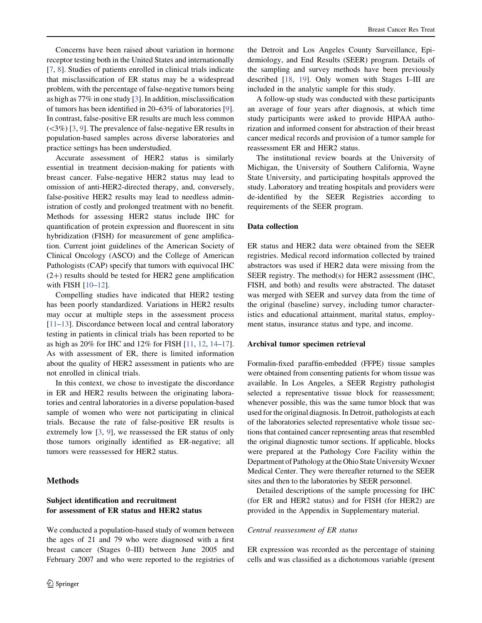Concerns have been raised about variation in hormone receptor testing both in the United States and internationally [7, 8]. Studies of patients enrolled in clinical trials indicate that misclassification of ER status may be a widespread problem, with the percentage of false-negative tumors being as high as 77% in one study [3]. In addition, misclassification of tumors has been identified in 20–63% of laboratories [9]. In contrast, false-positive ER results are much less common  $(\leq 3\%)$  [3, 9]. The prevalence of false-negative ER results in population-based samples across diverse laboratories and practice settings has been understudied.

Accurate assessment of HER2 status is similarly essential in treatment decision-making for patients with breast cancer. False-negative HER2 status may lead to omission of anti-HER2-directed therapy, and, conversely, false-positive HER2 results may lead to needless administration of costly and prolonged treatment with no benefit. Methods for assessing HER2 status include IHC for quantification of protein expression and fluorescent in situ hybridization (FISH) for measurement of gene amplification. Current joint guidelines of the American Society of Clinical Oncology (ASCO) and the College of American Pathologists (CAP) specify that tumors with equivocal IHC  $(2+)$  results should be tested for HER2 gene amplification with FISH [10–12].

Compelling studies have indicated that HER2 testing has been poorly standardized. Variations in HER2 results may occur at multiple steps in the assessment process [11–13]. Discordance between local and central laboratory testing in patients in clinical trials has been reported to be as high as 20% for IHC and 12% for FISH [11, 12, 14–17]. As with assessment of ER, there is limited information about the quality of HER2 assessment in patients who are not enrolled in clinical trials.

In this context, we chose to investigate the discordance in ER and HER2 results between the originating laboratories and central laboratories in a diverse population-based sample of women who were not participating in clinical trials. Because the rate of false-positive ER results is extremely low [3, 9], we reassessed the ER status of only those tumors originally identified as ER-negative; all tumors were reassessed for HER2 status.

#### Methods

# Subject identification and recruitment for assessment of ER status and HER2 status

We conducted a population-based study of women between the ages of 21 and 79 who were diagnosed with a first breast cancer (Stages 0–III) between June 2005 and February 2007 and who were reported to the registries of the Detroit and Los Angeles County Surveillance, Epidemiology, and End Results (SEER) program. Details of the sampling and survey methods have been previously described [18, 19]. Only women with Stages I–III are included in the analytic sample for this study.

A follow-up study was conducted with these participants an average of four years after diagnosis, at which time study participants were asked to provide HIPAA authorization and informed consent for abstraction of their breast cancer medical records and provision of a tumor sample for reassessment ER and HER2 status.

The institutional review boards at the University of Michigan, the University of Southern California, Wayne State University, and participating hospitals approved the study. Laboratory and treating hospitals and providers were de-identified by the SEER Registries according to requirements of the SEER program.

## Data collection

ER status and HER2 data were obtained from the SEER registries. Medical record information collected by trained abstractors was used if HER2 data were missing from the SEER registry. The method(s) for HER2 assessment (IHC, FISH, and both) and results were abstracted. The dataset was merged with SEER and survey data from the time of the original (baseline) survey, including tumor characteristics and educational attainment, marital status, employment status, insurance status and type, and income.

#### Archival tumor specimen retrieval

Formalin-fixed paraffin-embedded (FFPE) tissue samples were obtained from consenting patients for whom tissue was available. In Los Angeles, a SEER Registry pathologist selected a representative tissue block for reassessment; whenever possible, this was the same tumor block that was used for the original diagnosis. In Detroit, pathologists at each of the laboratories selected representative whole tissue sections that contained cancer representing areas that resembled the original diagnostic tumor sections. If applicable, blocks were prepared at the Pathology Core Facility within the Department of Pathology at the Ohio State University Wexner Medical Center. They were thereafter returned to the SEER sites and then to the laboratories by SEER personnel.

Detailed descriptions of the sample processing for IHC (for ER and HER2 status) and for FISH (for HER2) are provided in the Appendix in Supplementary material.

#### Central reassessment of ER status

ER expression was recorded as the percentage of staining cells and was classified as a dichotomous variable (present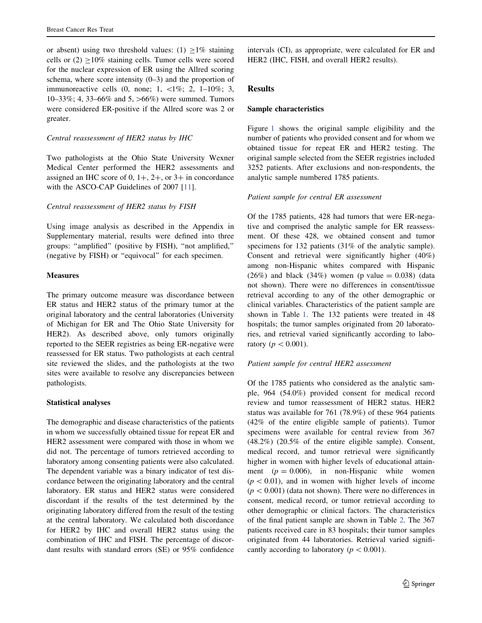or absent) using two threshold values: (1)  $\geq$ 1% staining cells or  $(2)$  >10% staining cells. Tumor cells were scored for the nuclear expression of ER using the Allred scoring schema, where score intensity  $(0-3)$  and the proportion of immunoreactive cells  $(0, \text{none}; 1, \langle 1\%; 2, 1-10\%; 3,$ 10–33%; 4, 33–66% and 5,  $>66\%$ ) were summed. Tumors were considered ER-positive if the Allred score was 2 or greater.

## Central reassessment of HER2 status by IHC

Two pathologists at the Ohio State University Wexner Medical Center performed the HER2 assessments and assigned an IHC score of  $0, 1+, 2+,$  or  $3+$  in concordance with the ASCO-CAP Guidelines of 2007 [11].

## Central reassessment of HER2 status by FISH

Using image analysis as described in the Appendix in Supplementary material, results were defined into three groups: ''amplified'' (positive by FISH), ''not amplified,'' (negative by FISH) or ''equivocal'' for each specimen.

## **Measures**

The primary outcome measure was discordance between ER status and HER2 status of the primary tumor at the original laboratory and the central laboratories (University of Michigan for ER and The Ohio State University for HER2). As described above, only tumors originally reported to the SEER registries as being ER-negative were reassessed for ER status. Two pathologists at each central site reviewed the slides, and the pathologists at the two sites were available to resolve any discrepancies between pathologists.

# Statistical analyses

The demographic and disease characteristics of the patients in whom we successfully obtained tissue for repeat ER and HER2 assessment were compared with those in whom we did not. The percentage of tumors retrieved according to laboratory among consenting patients were also calculated. The dependent variable was a binary indicator of test discordance between the originating laboratory and the central laboratory. ER status and HER2 status were considered discordant if the results of the test determined by the originating laboratory differed from the result of the testing at the central laboratory. We calculated both discordance for HER2 by IHC and overall HER2 status using the combination of IHC and FISH. The percentage of discordant results with standard errors (SE) or 95% confidence

intervals (CI), as appropriate, were calculated for ER and HER2 (IHC, FISH, and overall HER2 results).

# Results

## Sample characteristics

Figure 1 shows the original sample eligibility and the number of patients who provided consent and for whom we obtained tissue for repeat ER and HER2 testing. The original sample selected from the SEER registries included 3252 patients. After exclusions and non-respondents, the analytic sample numbered 1785 patients.

## Patient sample for central ER assessment

Of the 1785 patients, 428 had tumors that were ER-negative and comprised the analytic sample for ER reassessment. Of these 428, we obtained consent and tumor specimens for 132 patients (31% of the analytic sample). Consent and retrieval were significantly higher (40%) among non-Hispanic whites compared with Hispanic  $(26%)$  and black  $(34%)$  women (p value = 0.038) (data not shown). There were no differences in consent/tissue retrieval according to any of the other demographic or clinical variables. Characteristics of the patient sample are shown in Table 1. The 132 patients were treated in 48 hospitals; the tumor samples originated from 20 laboratories, and retrieval varied significantly according to laboratory ( $p < 0.001$ ).

# Patient sample for central HER2 assessment

Of the 1785 patients who considered as the analytic sample, 964 (54.0%) provided consent for medical record review and tumor reassessment of HER2 status. HER2 status was available for 761 (78.9%) of these 964 patients (42% of the entire eligible sample of patients). Tumor specimens were available for central review from 367 (48.2%) (20.5% of the entire eligible sample). Consent, medical record, and tumor retrieval were significantly higher in women with higher levels of educational attainment  $(p = 0.006)$ , in non-Hispanic white women  $(p < 0.01)$ , and in women with higher levels of income  $(p < 0.001)$  (data not shown). There were no differences in consent, medical record, or tumor retrieval according to other demographic or clinical factors. The characteristics of the final patient sample are shown in Table 2. The 367 patients received care in 83 hospitals; their tumor samples originated from 44 laboratories. Retrieval varied significantly according to laboratory ( $p < 0.001$ ).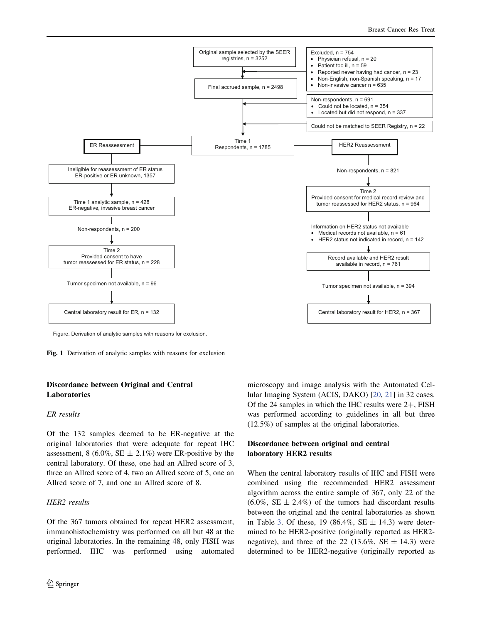

Figure. Derivation of analytic samples with reasons for exclusion.

Fig. 1 Derivation of analytic samples with reasons for exclusion

# Discordance between Original and Central Laboratories

## ER results

Of the 132 samples deemed to be ER-negative at the original laboratories that were adequate for repeat IHC assessment, 8 (6.0%, SE  $\pm$  2.1%) were ER-positive by the central laboratory. Of these, one had an Allred score of 3, three an Allred score of 4, two an Allred score of 5, one an Allred score of 7, and one an Allred score of 8.

## HER2 results

Of the 367 tumors obtained for repeat HER2 assessment, immunohistochemistry was performed on all but 48 at the original laboratories. In the remaining 48, only FISH was performed. IHC was performed using automated microscopy and image analysis with the Automated Cellular Imaging System (ACIS, DAKO) [20, 21] in 32 cases. Of the 24 samples in which the IHC results were  $2+$ , FISH was performed according to guidelines in all but three (12.5%) of samples at the original laboratories.

# Discordance between original and central laboratory HER2 results

When the central laboratory results of IHC and FISH were combined using the recommended HER2 assessment algorithm across the entire sample of 367, only 22 of the  $(6.0\%, \text{SE} \pm 2.4\%)$  of the tumors had discordant results between the original and the central laboratories as shown in Table 3. Of these, 19 (86.4%, SE  $\pm$  14.3) were determined to be HER2-positive (originally reported as HER2 negative), and three of the 22 (13.6%, SE  $\pm$  14.3) were determined to be HER2-negative (originally reported as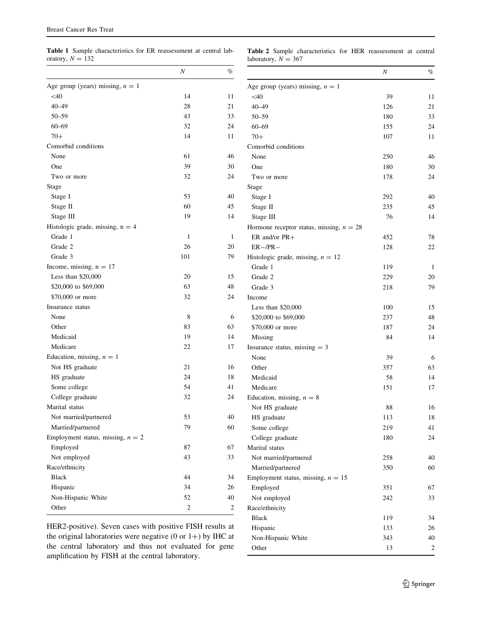Table 1 Sample characteristics for ER reassessment at central laboratory,  $N = 132$ 

Table 2 Sample characteristics for HER reassessment at central laboratory,  $N = 367$ 

|                                     | Ν   | %  |
|-------------------------------------|-----|----|
| Age group (years) missing, $n = 1$  |     |    |
| $<$ 40                              | 14  | 11 |
| $40 - 49$                           | 28  | 21 |
| $50 - 59$                           | 43  | 33 |
| $60 - 69$                           | 32  | 24 |
| $70+$                               | 14  | 11 |
| Comorbid conditions                 |     |    |
| None                                | 61  | 46 |
| One                                 | 39  | 30 |
| Two or more                         | 32  | 24 |
| Stage                               |     |    |
| Stage I                             | 53  | 40 |
| Stage II                            | 60  | 45 |
| Stage III                           | 19  | 14 |
| Histologic grade, missing, $n = 4$  |     |    |
| Grade 1                             | 1   | 1  |
| Grade 2                             | 26  | 20 |
| Grade 3                             | 101 | 79 |
| Income, missing, $n = 17$           |     |    |
| Less than \$20,000                  | 20  | 15 |
| \$20,000 to \$69,000                | 63  | 48 |
| \$70,000 or more                    | 32  | 24 |
| Insurance status                    |     |    |
| None                                | 8   | 6  |
| Other                               | 83  | 63 |
| Medicaid                            | 19  | 14 |
| Medicare                            | 22  | 17 |
| Education, missing, $n = 1$         |     |    |
| Not HS graduate                     | 21  | 16 |
| HS graduate                         | 24  | 18 |
| Some college                        | 54  | 41 |
| College graduate                    | 32  | 24 |
| Marital status                      |     |    |
| Not married/partnered               | 53  | 40 |
| Married/partnered                   | 79  | 60 |
| Employment status, missing, $n = 2$ |     |    |
| Employed                            | 87  | 67 |
| Not employed                        | 43  | 33 |
| Race/ethnicity                      |     |    |
| <b>Black</b>                        | 44  | 34 |
| Hispanic                            | 34  | 26 |
| Non-Hispanic White                  | 52  | 40 |
| Other                               | 2   | 2  |

HER2-positive). Seven cases with positive FISH results at the original laboratories were negative  $(0 \text{ or } 1+)$  by IHC at the central laboratory and thus not evaluated for gene amplification by FISH at the central laboratory.

|                                            | Ν   | %  |
|--------------------------------------------|-----|----|
| Age group (years) missing, $n = 1$         |     |    |
| $<$ 40                                     | 39  | 11 |
| $40 - 49$                                  | 126 | 21 |
| $50 - 59$                                  | 180 | 33 |
| $60 - 69$                                  | 155 | 24 |
| $70+$                                      | 107 | 11 |
| Comorbid conditions                        |     |    |
| None                                       | 250 | 46 |
| One                                        | 180 | 30 |
| Two or more                                | 178 | 24 |
| Stage                                      |     |    |
| Stage I                                    | 292 | 40 |
| Stage II                                   | 235 | 45 |
| Stage III                                  | 76  | 14 |
| Hormone receptor status, missing, $n = 28$ |     |    |
| ER and/or $PR+$                            | 452 | 78 |
| $ER-$ /PR $-$                              | 128 | 22 |
| Histologic grade, missing, $n = 12$        |     |    |
| Grade 1                                    | 119 | 1  |
| Grade 2                                    | 229 | 20 |
| Grade 3                                    | 218 | 79 |
| Income                                     |     |    |
| Less than \$20,000                         | 100 | 15 |
| \$20,000 to \$69,000                       | 237 | 48 |
| \$70,000 or more                           | 187 | 24 |
| Missing                                    | 84  | 14 |
| Insurance status, missing $=$ 3            |     |    |
| None                                       | 39  | 6  |
| Other                                      | 357 | 63 |
| Medicaid                                   | 58  | 14 |
| Medicare                                   | 151 | 17 |
| Education, missing, $n = 8$                |     |    |
| Not HS graduate                            | 88  | 16 |
| HS graduate                                | 113 | 18 |
| Some college                               | 219 | 41 |
| College graduate                           | 180 | 24 |
| Marital status                             |     |    |
| Not married/partnered                      | 258 | 40 |
| Married/partnered                          | 350 | 60 |
| Employment status, missing, $n = 15$       |     |    |
| Employed                                   | 351 | 67 |
| Not employed                               | 242 | 33 |
| Race/ethnicity                             |     |    |
| <b>Black</b>                               | 119 | 34 |
| Hispanic                                   | 133 | 26 |
| Non-Hispanic White                         | 343 | 40 |
| Other                                      | 13  | 2  |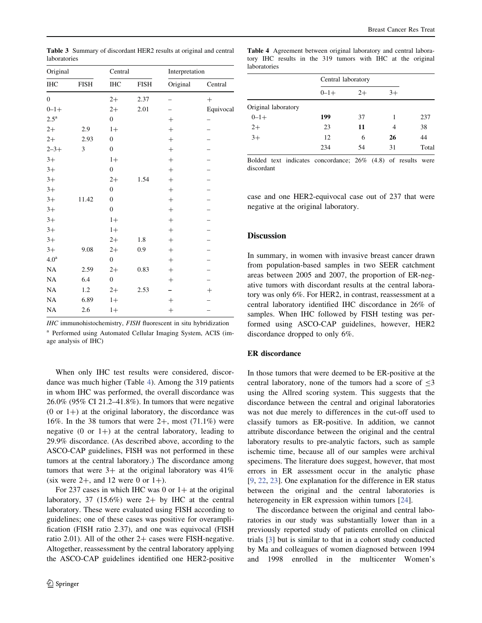| Original           |             | Central          |             | Interpretation |                    |
|--------------------|-------------|------------------|-------------|----------------|--------------------|
| $\rm IHC$          | <b>FISH</b> | IHC              | <b>FISH</b> | Original       | Central            |
| $\mathbf{0}$       |             | $2+$             | 2.37        | -              | $^{+}$             |
| $0 - 1 +$          |             | $2+$             | 2.01        |                | Equivocal          |
| $2.5^{\mathrm{a}}$ |             | $\boldsymbol{0}$ |             | $^{+}$         |                    |
| $2+$               | 2.9         | $1+$             |             | $^{+}$         |                    |
| $2+$               | 2.93        | $\boldsymbol{0}$ |             | $^{+}$         |                    |
| $2 - 3 +$          | 3           | $\boldsymbol{0}$ |             | $^{+}$         |                    |
| $3+$               |             | $1+$             |             | $+$            |                    |
| $3+$               |             | $\boldsymbol{0}$ |             | $^{+}$         |                    |
| $3+$               |             | $2+$             | 1.54        | $^{+}$         |                    |
| $3+$               |             | $\boldsymbol{0}$ |             | $^{+}$         |                    |
| $3+$               | 11.42       | $\boldsymbol{0}$ |             | $+$            |                    |
| $3+$               |             | $\boldsymbol{0}$ |             | $^{+}$         |                    |
| $3+$               |             | $1+$             |             | $^{+}$         |                    |
| $3+$               |             | $1+$             |             | $^{+}$         |                    |
| $3+$               |             | $2+$             | 1.8         | $^{+}$         |                    |
| $3+$               | 9.08        | $2+$             | 0.9         | $^{+}$         |                    |
| $4.0^{\rm a}$      |             | $\boldsymbol{0}$ |             | $^{+}$         |                    |
| $\rm NA$           | 2.59        | $2+$             | 0.83        | $^{+}$         |                    |
| NA                 | 6.4         | $\boldsymbol{0}$ |             | $^{+}$         |                    |
| NA                 | 1.2         | $2+$             | 2.53        |                | $\hspace{0.1mm} +$ |
| NA                 | 6.89        | $1+$             |             | $^{+}$         |                    |
| NA                 | 2.6         | $1+$             |             |                |                    |

Table 3 Summary of discordant HER2 results at original and central laboratories

IHC immunohistochemistry, FISH fluorescent in situ hybridization

<sup>a</sup> Performed using Automated Cellular Imaging System, ACIS (image analysis of IHC)

When only IHC test results were considered, discordance was much higher (Table 4). Among the 319 patients in whom IHC was performed, the overall discordance was 26.0% (95% CI 21.2–41.8%). In tumors that were negative  $(0 \text{ or } 1+)$  at the original laboratory, the discordance was 16%. In the 38 tumors that were  $2+$ , most (71.1%) were negative  $(0 \text{ or } 1+)$  at the central laboratory, leading to 29.9% discordance. (As described above, according to the ASCO-CAP guidelines, FISH was not performed in these tumors at the central laboratory.) The discordance among tumors that were  $3+$  at the original laboratory was  $41\%$ (six were  $2+$ , and 12 were 0 or  $1+$ ).

For 237 cases in which IHC was 0 or  $1+$  at the original laboratory, 37 (15.6%) were  $2+$  by IHC at the central laboratory. These were evaluated using FISH according to guidelines; one of these cases was positive for overamplification (FISH ratio 2.37), and one was equivocal (FISH ratio 2.01). All of the other  $2+$  cases were FISH-negative. Altogether, reassessment by the central laboratory applying the ASCO-CAP guidelines identified one HER2-positive

Table 4 Agreement between original laboratory and central laboratory IHC results in the 319 tumors with IHC at the original laboratories

|                     | Central laboratory |      |      |       |
|---------------------|--------------------|------|------|-------|
|                     | $0 - 1 +$          | $2+$ | $3+$ |       |
| Original laboratory |                    |      |      |       |
| $0 - 1 +$           | 199                | 37   | 1    | 237   |
| $2+$                | 23                 | 11   | 4    | 38    |
| $3+$                | 12                 | 6    | 26   | 44    |
|                     | 234                | 54   | 31   | Total |
|                     |                    |      |      |       |

Bolded text indicates concordance; 26% (4.8) of results were discordant

case and one HER2-equivocal case out of 237 that were negative at the original laboratory.

## **Discussion**

In summary, in women with invasive breast cancer drawn from population-based samples in two SEER catchment areas between 2005 and 2007, the proportion of ER-negative tumors with discordant results at the central laboratory was only 6%. For HER2, in contrast, reassessment at a central laboratory identified IHC discordance in 26% of samples. When IHC followed by FISH testing was performed using ASCO-CAP guidelines, however, HER2 discordance dropped to only 6%.

## ER discordance

In those tumors that were deemed to be ER-positive at the central laboratory, none of the tumors had a score of  $\leq 3$ using the Allred scoring system. This suggests that the discordance between the central and original laboratories was not due merely to differences in the cut-off used to classify tumors as ER-positive. In addition, we cannot attribute discordance between the original and the central laboratory results to pre-analytic factors, such as sample ischemic time, because all of our samples were archival specimens. The literature does suggest, however, that most errors in ER assessment occur in the analytic phase [9, 22, 23]. One explanation for the difference in ER status between the original and the central laboratories is heterogeneity in ER expression within tumors [24].

The discordance between the original and central laboratories in our study was substantially lower than in a previously reported study of patients enrolled on clinical trials [3] but is similar to that in a cohort study conducted by Ma and colleagues of women diagnosed between 1994 and 1998 enrolled in the multicenter Women's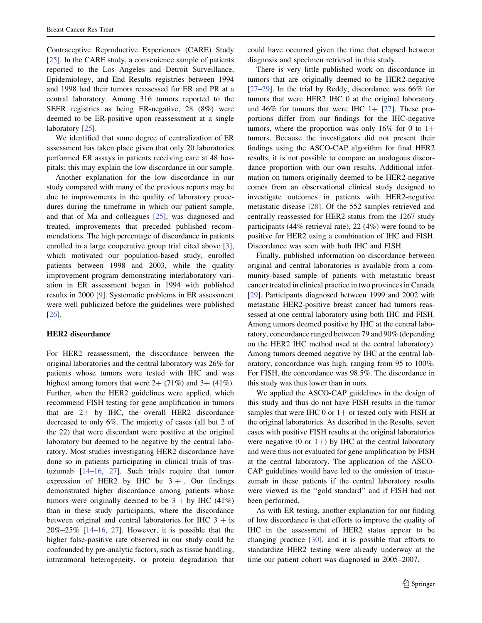Contraceptive Reproductive Experiences (CARE) Study [25]. In the CARE study, a convenience sample of patients reported to the Los Angeles and Detroit Surveillance, Epidemiology, and End Results registries between 1994 and 1998 had their tumors reassessed for ER and PR at a central laboratory. Among 316 tumors reported to the SEER registries as being ER-negative, 28 (8%) were deemed to be ER-positive upon reassessment at a single laboratory [25].

We identified that some degree of centralization of ER assessment has taken place given that only 20 laboratories performed ER assays in patients receiving care at 48 hospitals; this may explain the low discordance in our sample.

Another explanation for the low discordance in our study compared with many of the previous reports may be due to improvements in the quality of laboratory procedures during the timeframe in which our patient sample, and that of Ma and colleagues [25], was diagnosed and treated, improvements that preceded published recommendations. The high percentage of discordance in patients enrolled in a large cooperative group trial cited above [3], which motivated our population-based study, enrolled patients between 1998 and 2003, while the quality improvement program demonstrating interlaboratory variation in ER assessment began in 1994 with published results in 2000 [9]. Systematic problems in ER assessment were well publicized before the guidelines were published [26].

#### HER2 discordance

For HER2 reassessment, the discordance between the original laboratories and the central laboratory was 26% for patients whose tumors were tested with IHC and was highest among tumors that were  $2+$  (71%) and 3+ (41%). Further, when the HER2 guidelines were applied, which recommend FISH testing for gene amplification in tumors that are  $2+$  by IHC, the overall HER2 discordance decreased to only 6%. The majority of cases (all but 2 of the 22) that were discordant were positive at the original laboratory but deemed to be negative by the central laboratory. Most studies investigating HER2 discordance have done so in patients participating in clinical trials of trastuzumab [14–16, 27]. Such trials require that tumor expression of HER2 by IHC be  $3 +$ . Our findings demonstrated higher discordance among patients whose tumors were originally deemed to be  $3 + by$  IHC (41%) than in these study participants, where the discordance between original and central laboratories for IHC  $3 +$  is 20%–25% [14–16, 27]. However, it is possible that the higher false-positive rate observed in our study could be confounded by pre-analytic factors, such as tissue handling, intratumoral heterogeneity, or protein degradation that

could have occurred given the time that elapsed between diagnosis and specimen retrieval in this study.

There is very little published work on discordance in tumors that are originally deemed to be HER2-negative [27–29]. In the trial by Reddy, discordance was 66% for tumors that were HER2 IHC 0 at the original laboratory and 46% for tumors that were IHC  $1+$  [27]. These proportions differ from our findings for the IHC-negative tumors, where the proportion was only 16% for 0 to  $1+$ tumors. Because the investigators did not present their findings using the ASCO-CAP algorithm for final HER2 results, it is not possible to compare an analogous discordance proportion with our own results. Additional information on tumors originally deemed to be HER2-negative comes from an observational clinical study designed to investigate outcomes in patients with HER2-negative metastatic disease [28]. Of the 552 samples retrieved and centrally reassessed for HER2 status from the 1267 study participants (44% retrieval rate), 22 (4%) were found to be positive for HER2 using a combination of IHC and FISH. Discordance was seen with both IHC and FISH.

Finally, published information on discordance between original and central laboratories is available from a community-based sample of patients with metastatic breast cancer treated in clinical practice in two provinces in Canada [29]. Participants diagnosed between 1999 and 2002 with metastatic HER2-positive breast cancer had tumors reassessed at one central laboratory using both IHC and FISH. Among tumors deemed positive by IHC at the central laboratory, concordance ranged between 79 and 90% (depending on the HER2 IHC method used at the central laboratory). Among tumors deemed negative by IHC at the central laboratory, concordance was high, ranging from 95 to 100%. For FISH, the concordance was 98.5%. The discordance in this study was thus lower than in ours.

We applied the ASCO-CAP guidelines in the design of this study and thus do not have FISH results in the tumor samples that were IHC 0 or  $1+$  or tested only with FISH at the original laboratories. As described in the Results, seven cases with positive FISH results at the original laboratories were negative (0 or 1+) by IHC at the central laboratory and were thus not evaluated for gene amplification by FISH at the central laboratory. The application of the ASCO-CAP guidelines would have led to the omission of trastuzumab in these patients if the central laboratory results were viewed as the ''gold standard'' and if FISH had not been performed.

As with ER testing, another explanation for our finding of low discordance is that efforts to improve the quality of IHC in the assessment of HER2 status appear to be changing practice [30], and it is possible that efforts to standardize HER2 testing were already underway at the time our patient cohort was diagnosed in 2005–2007.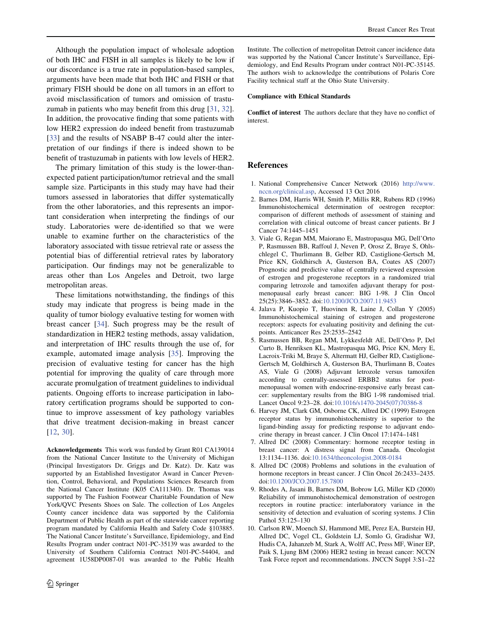Although the population impact of wholesale adoption of both IHC and FISH in all samples is likely to be low if our discordance is a true rate in population-based samples, arguments have been made that both IHC and FISH or that primary FISH should be done on all tumors in an effort to avoid misclassification of tumors and omission of trastuzumab in patients who may benefit from this drug [31, 32]. In addition, the provocative finding that some patients with low HER2 expression do indeed benefit from trastuzumab [33] and the results of NSABP B-47 could alter the interpretation of our findings if there is indeed shown to be benefit of trastuzumab in patients with low levels of HER2.

The primary limitation of this study is the lower-thanexpected patient participation/tumor retrieval and the small sample size. Participants in this study may have had their tumors assessed in laboratories that differ systematically from the other laboratories, and this represents an important consideration when interpreting the findings of our study. Laboratories were de-identified so that we were unable to examine further on the characteristics of the laboratory associated with tissue retrieval rate or assess the potential bias of differential retrieval rates by laboratory participation. Our findings may not be generalizable to areas other than Los Angeles and Detroit, two large metropolitan areas.

These limitations notwithstanding, the findings of this study may indicate that progress is being made in the quality of tumor biology evaluative testing for women with breast cancer [34]. Such progress may be the result of standardization in HER2 testing methods, assay validation, and interpretation of IHC results through the use of, for example, automated image analysis [35]. Improving the precision of evaluative testing for cancer has the high potential for improving the quality of care through more accurate promulgation of treatment guidelines to individual patients. Ongoing efforts to increase participation in laboratory certification programs should be supported to continue to improve assessment of key pathology variables that drive treatment decision-making in breast cancer [12, 30].

Acknowledgements This work was funded by Grant R01 CA139014 from the National Cancer Institute to the University of Michigan (Principal Investigators Dr. Griggs and Dr. Katz). Dr. Katz was supported by an Established Investigator Award in Cancer Prevention, Control, Behavioral, and Populations Sciences Research from the National Cancer Institute (K05 CA111340). Dr. Thomas was supported by The Fashion Footwear Charitable Foundation of New York/QVC Presents Shoes on Sale. The collection of Los Angeles County cancer incidence data was supported by the California Department of Public Health as part of the statewide cancer reporting program mandated by California Health and Safety Code §103885. The National Cancer Institute's Surveillance, Epidemiology, and End Results Program under contract N01-PC-35139 was awarded to the University of Southern California Contract N01-PC-54404, and agreement 1U58DP0087-01 was awarded to the Public Health

Institute. The collection of metropolitan Detroit cancer incidence data was supported by the National Cancer Institute's Surveillance, Epidemiology, and End Results Program under contract N01-PC-35145. The authors wish to acknowledge the contributions of Polaris Core Facility technical staff at the Ohio State University.

#### Compliance with Ethical Standards

Conflict of interest The authors declare that they have no conflict of interest.

## References

- 1. National Comprehensive Cancer Network (2016) http://www. nccn.org/clinical.asp, Accessed 13 Oct 2016
- 2. Barnes DM, Harris WH, Smith P, Millis RR, Rubens RD (1996) Immunohistochemical determination of oestrogen receptor: comparison of different methods of assessment of staining and correlation with clinical outcome of breast cancer patients. Br J Cancer 74:1445–1451
- 3. Viale G, Regan MM, Maiorano E, Mastropasqua MG, Dell'Orto P, Rasmussen BB, Raffoul J, Neven P, Orosz Z, Braye S, Ohlschlegel C, Thurlimann B, Gelber RD, Castiglione-Gertsch M, Price KN, Goldhirsch A, Gusterson BA, Coates AS (2007) Prognostic and predictive value of centrally reviewed expression of estrogen and progesterone receptors in a randomized trial comparing letrozole and tamoxifen adjuvant therapy for postmenopausal early breast cancer: BIG 1-98. J Clin Oncol 25(25):3846–3852. doi:10.1200/JCO.2007.11.9453
- 4. Jalava P, Kuopio T, Huovinen R, Laine J, Collan Y (2005) Immunohistochemical staining of estrogen and progesterone receptors: aspects for evaluating positivity and defining the cutpoints. Anticancer Res 25:2535–2542
- 5. Rasmussen BB, Regan MM, Lykkesfeldt AE, Dell'Orto P, Del Curto B, Henriksen KL, Mastropasqua MG, Price KN, Mery E, Lacroix-Triki M, Braye S, Altermatt HJ, Gelber RD, Castiglione-Gertsch M, Goldhirsch A, Gusterson BA, Thurlimann B, Coates AS, Viale G (2008) Adjuvant letrozole versus tamoxifen according to centrally-assessed ERBB2 status for postmenopausal women with endocrine-responsive early breast cancer: supplementary results from the BIG 1-98 randomised trial. Lancet Oncol 9:23–28. doi:10.1016/s1470-2045(07)70386-8
- 6. Harvey JM, Clark GM, Osborne CK, Allred DC (1999) Estrogen receptor status by immunohistochemistry is superior to the ligand-binding assay for predicting response to adjuvant endocrine therapy in breast cancer. J Clin Oncol 17:1474–1481
- 7. Allred DC (2008) Commentary: hormone receptor testing in breast cancer: A distress signal from Canada. Oncologist 13:1134–1136. doi:10.1634/theoncologist.2008-0184
- 8. Allred DC (2008) Problems and solutions in the evaluation of hormone receptors in breast cancer. J Clin Oncol 26:2433–2435. doi:10.1200/JCO.2007.15.7800
- 9. Rhodes A, Jasani B, Barnes DM, Bobrow LG, Miller KD (2000) Reliability of immunohistochemical demonstration of oestrogen receptors in routine practice: interlaboratory variance in the sensitivity of detection and evaluation of scoring systems. J Clin Pathol 53:125–130
- 10. Carlson RW, Moench SJ, Hammond ME, Perez EA, Burstein HJ, Allred DC, Vogel CL, Goldstein LJ, Somlo G, Gradishar WJ, Hudis CA, Jahanzeb M, Stark A, Wolff AC, Press MF, Winer EP, Paik S, Ljung BM (2006) HER2 testing in breast cancer: NCCN Task Force report and recommendations. JNCCN Suppl 3:S1–22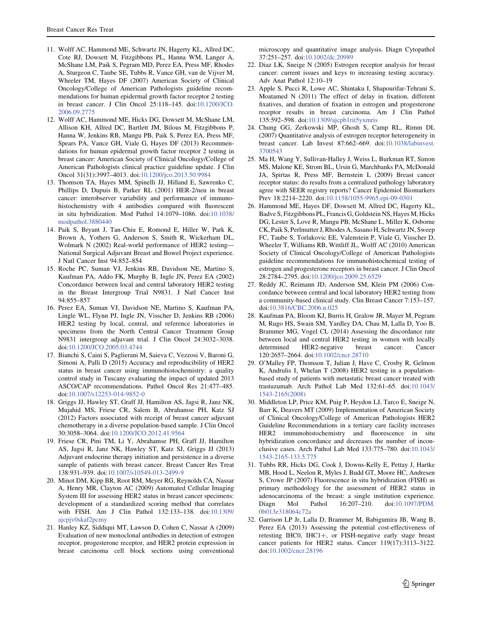- 11. Wolff AC, Hammond ME, Schwartz JN, Hagerty KL, Allred DC, Cote RJ, Dowsett M, Fitzgibbons PL, Hanna WM, Langer A, McShane LM, Paik S, Pegram MD, Perez EA, Press MF, Rhodes A, Sturgeon C, Taube SE, Tubbs R, Vance GH, van de Vijver M, Wheeler TM, Hayes DF (2007) American Society of Clinical Oncology/College of American Pathologists guideline recommendations for human epidermal growth factor receptor 2 testing in breast cancer. J Clin Oncol 25:118–145. doi:10.1200/JCO. 2006.09.2775
- 12. Wolff AC, Hammond ME, Hicks DG, Dowsett M, McShane LM, Allison KH, Allred DC, Bartlett JM, Bilous M, Fitzgibbons P, Hanna W, Jenkins RB, Mangu PB, Paik S, Perez EA, Press MF, Spears PA, Vance GH, Viale G, Hayes DF (2013) Recommendations for human epidermal growth factor receptor 2 testing in breast cancer: American Society of Clinical Oncology/College of American Pathologists clinical practice guideline update. J Clin Oncol 31(31):3997–4013. doi:10.1200/jco.2013.50.9984
- 13. Thomson TA, Hayes MM, Spinelli JJ, Hilland E, Sawrenko C, Phillips D, Dupuis B, Parker RL (2001) HER-2/neu in breast cancer: interobserver variability and performance of immunohistochemistry with 4 antibodies compared with fluorescent in situ hybridization. Mod Pathol 14:1079–1086. doi:10.1038/ modpathol.3880440
- 14. Paik S, Bryant J, Tan-Chiu E, Romond E, Hiller W, Park K, Brown A, Yothers G, Anderson S, Smith R, Wickerham DL, Wolmark N (2002) Real-world performance of HER2 testing— National Surgical Adjuvant Breast and Bowel Project experience. J Natl Cancer Inst 94:852–854
- 15. Roche PC, Suman VJ, Jenkins RB, Davidson NE, Martino S, Kaufman PA, Addo FK, Murphy B, Ingle JN, Perez EA (2002) Concordance between local and central laboratory HER2 testing in the Breast Intergroup Trial N9831. J Natl Cancer Inst 94:855–857
- 16. Perez EA, Suman VJ, Davidson NE, Martino S, Kaufman PA, Lingle WL, Flynn PJ, Ingle JN, Visscher D, Jenkins RB (2006) HER2 testing by local, central, and reference laboratories in specimens from the North Central Cancer Treatment Group N9831 intergroup adjuvant trial. J Clin Oncol 24:3032–3038. doi:10.1200/JCO.2005.03.4744
- 17. Bianchi S, Caini S, Paglierani M, Saieva C, Vezzosi V, Baroni G, Simoni A, Palli D (2015) Accuracy and reproducibility of HER2 status in breast cancer using immunohistochemistry: a quality control study in Tuscany evaluating the impact of updated 2013 ASCO/CAP recommendations. Pathol Oncol Res 21:477–485. doi:10.1007/s12253-014-9852-0
- 18. Griggs JJ, Hawley ST, Graff JJ, Hamilton AS, Jagsi R, Janz NK, Mujahid MS, Friese CR, Salem B, Abrahamse PH, Katz SJ (2012) Factors associated with receipt of breast cancer adjuvant chemotherapy in a diverse population-based sample. J Clin Oncol 30:3058–3064. doi:10.1200/JCO.2012.41.9564
- 19. Friese CR, Pini TM, Li Y, Abrahamse PH, Graff JJ, Hamilton AS, Jagsi R, Janz NK, Hawley ST, Katz SJ, Griggs JJ (2013) Adjuvant endocrine therapy initiation and persistence in a diverse sample of patients with breast cancer. Breast Cancer Res Treat 138:931–939. doi:10.1007/s10549-013-2499-9
- 20. Minot DM, Kipp BR, Root RM, Meyer RG, Reynolds CA, Nassar A, Henry MR, Clayton AC (2009) Automated Cellular Imaging System III for assessing HER2 status in breast cancer specimens: development of a standardized scoring method that correlates with FISH. Am J Clin Pathol 132:133–138. doi:10.1309/ ajcpjv0skaf2pcmy
- 21. Hanley KZ, Siddiqui MT, Lawson D, Cohen C, Nassar A (2009) Evaluation of new monoclonal antibodies in detection of estrogen receptor, progesterone receptor, and HER2 protein expression in breast carcinoma cell block sections using conventional

microscopy and quantitative image analysis. Diagn Cytopathol 37:251–257. doi:10.1002/dc.20989

- 22. Diaz LK, Sneige N (2005) Estrogen receptor analysis for breast cancer: current issues and keys to increasing testing accuracy. Adv Anat Pathol 12:10–19
- 23. Apple S, Pucci R, Lowe AC, Shintaku I, Shapourifar-Tehrani S, Moatamed N (2011) The effect of delay in fixation, different fixatives, and duration of fixation in estrogen and progesterone receptor results in breast carcinoma. Am J Clin Pathol 135:592–598. doi:10.1309/ajcpb1rit5yxmris
- 24. Chung GG, Zerkowski MP, Ghosh S, Camp RL, Rimm DL (2007) Quantitative analysis of estrogen receptor heterogeneity in breast cancer. Lab Invest 87:662–669. doi:10.1038/labinvest. 3700543
- 25. Ma H, Wang Y, Sullivan-Halley J, Weiss L, Burkman RT, Simon MS, Malone KE, Strom BL, Ursin G, Marchbanks PA, McDonald JA, Spirtas R, Press MF, Bernstein L (2009) Breast cancer receptor status: do results from a centralized pathology laboratory agree with SEER registry reports? Cancer Epidemiol Biomarkers Prev 18:2214–2220. doi:10.1158/1055-9965.epi-09-0301
- 26. Hammond ME, Hayes DF, Dowsett M, Allred DC, Hagerty KL, Badve S, Fitzgibbons PL, Francis G, Goldstein NS, Hayes M, Hicks DG, Lester S, Love R, Mangu PB, McShane L, Miller K, Osborne CK, Paik S, Perlmutter J, Rhodes A, Sasano H, Schwartz JN, Sweep FC, Taube S, Torlakovic EE, Valenstein P, Viale G, Visscher D, Wheeler T, Williams RB, Wittliff JL, Wolff AC (2010) American Society of Clinical Oncology/College of American Pathologists guideline recommendations for immunohistochemical testing of estrogen and progesterone receptors in breast cancer. J Clin Oncol 28:2784–2795. doi:10.1200/jco.2009.25.6529
- 27. Reddy JC, Reimann JD, Anderson SM, Klein PM (2006) Concordance between central and local laboratory HER2 testing from a community-based clinical study. Clin Breast Cancer 7:153–157. doi:10.3816/CBC.2006.n.025
- 28. Kaufman PA, Bloom KJ, Burris H, Gralow JR, Mayer M, Pegram M, Rugo HS, Swain SM, Yardley DA, Chau M, Lalla D, Yoo B, Brammer MG, Vogel CL (2014) Assessing the discordance rate between local and central HER2 testing in women with locally determined HER2-negative breast cancer. Cancer 120:2657–2664. doi:10.1002/cncr.28710
- 29. O'Malley FP, Thomson T, Julian J, Have C, Crosby R, Gelmon K, Andrulis I, Whelan T (2008) HER2 testing in a populationbased study of patients with metastatic breast cancer treated with trastuzumab. Arch Pathol Lab Med 132:61–65. doi:10.1043/ 1543-2165(2008)
- 30. Middleton LP, Price KM, Puig P, Heydon LJ, Tarco E, Sneige N, Barr K, Deavers MT (2009) Implementation of American Society of Clinical Oncology/College of American Pathologists HER2 Guideline Recommendations in a tertiary care facility increases HER2 immunohistochemistry and fluorescence in situ hybridization concordance and decreases the number of inconclusive cases. Arch Pathol Lab Med 133:775–780. doi:10.1043/ 1543-2165-133.5.775
- 31. Tubbs RR, Hicks DG, Cook J, Downs-Kelly E, Pettay J, Hartke MB, Hood L, Neelon R, Myles J, Budd GT, Moore HC, Andresen S, Crowe JP (2007) Fluorescence in situ hybridization (FISH) as primary methodology for the assessment of HER2 status in adenocarcinoma of the breast: a single institution experience. Diagn Mol Pathol 16:207–210. doi:10.1097/PDM. 0b013e318064c72a
- 32. Garrison LP Jr, Lalla D, Brammer M, Babigumira JB, Wang B, Perez EA (2013) Assessing the potential cost-effectiveness of retesting IHC0, IHC1+, or FISH-negative early stage breast cancer patients for HER2 status. Cancer 119(17):3113–3122. doi:10.1002/cncr.28196